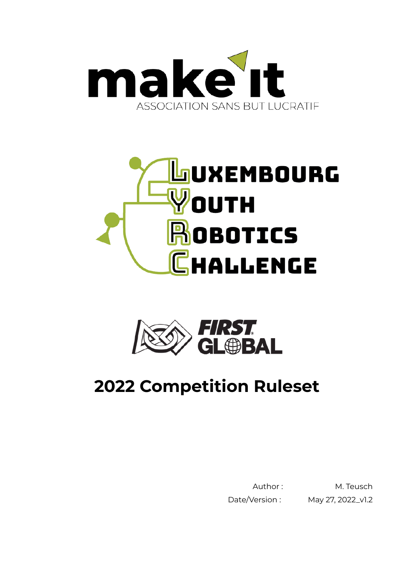





# **2022 Competition Ruleset**

Date/Version : May 27, 2022\_v1.2

Author: M. Teusch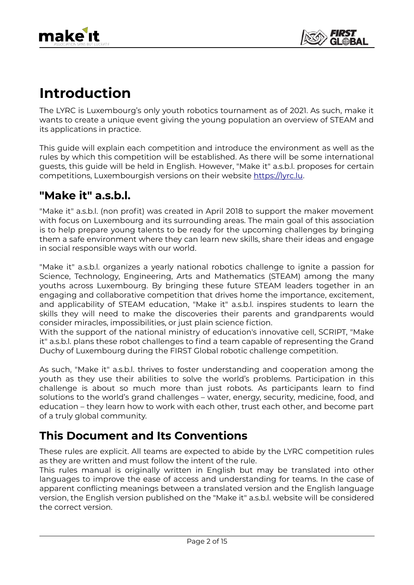## **Introduction**

The LYRC is Luxembourg's only youth robotics tournament as of 2021. As such, make it wants to create a unique event giving the young population an overview of STEAM and its applications in practice.

This guide will explain each competition and introduce the environment as well as the rules by which this competition will be established. As there will be some international guests, this guide will be held in English. However, "Make it" a.s.b.l. proposes for certain competitions, Luxembourgish versions on their website [https://lyrc.lu.](https://lyrc.lu/)

#### **"Make it" a.s.b.l.**

 $\overline{a}$ 

"Make it" a.s.b.l. (non profit) was created in April 2018 to support the maker movement with focus on Luxembourg and its surrounding areas. The main goal of this association is to help prepare young talents to be ready for the upcoming challenges by bringing them a safe environment where they can learn new skills, share their ideas and engage in social responsible ways with our world.

"Make it" a.s.b.l. organizes a yearly national robotics challenge to ignite a passion for Science, Technology, Engineering, Arts and Mathematics (STEAM) among the many youths across Luxembourg. By bringing these future STEAM leaders together in an engaging and collaborative competition that drives home the importance, excitement, and applicability of STEAM education, "Make it" a.s.b.l. inspires students to learn the skills they will need to make the discoveries their parents and grandparents would consider miracles, impossibilities, or just plain science fiction.

With the support of the national ministry of education's innovative cell, SCRIPT, "Make it" a.s.b.l. plans these robot challenges to find a team capable of representing the Grand Duchy of Luxembourg during the FIRST Global robotic challenge competition.

As such, "Make it" a.s.b.l. thrives to foster understanding and cooperation among the youth as they use their abilities to solve the world's problems. Participation in this challenge is about so much more than just robots. As participants learn to find solutions to the world's grand challenges – water, energy, security, medicine, food, and education – they learn how to work with each other, trust each other, and become part of a truly global community.

### **This Document and Its Conventions**

These rules are explicit. All teams are expected to abide by the LYRC competition rules as they are written and must follow the intent of the rule.

This rules manual is originally written in English but may be translated into other languages to improve the ease of access and understanding for teams. In the case of apparent conflicting meanings between a translated version and the English language version, the English version published on the "Make it" a.s.b.l. website will be considered the correct version.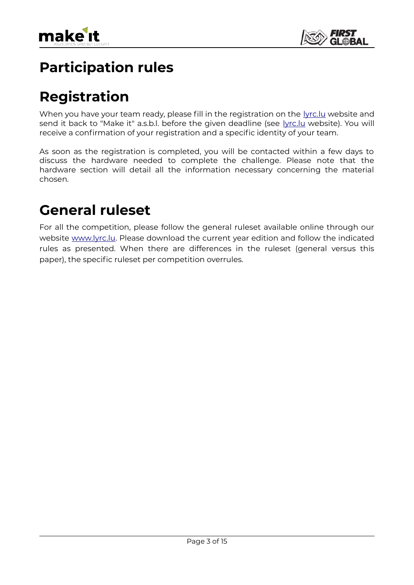

## **Participation rules**

## **Registration**

When you have your team ready, please fill in the registration on the lyrc. Iu website and send it back to "Make it" a.s.b.l. before the given deadline (see [lyrc.lu](http://www.lyrc.lu/) website). You will receive a confirmation of your registration and a specific identity of your team.

As soon as the registration is completed, you will be contacted within a few days to discuss the hardware needed to complete the challenge. Please note that the hardware section will detail all the information necessary concerning the material chosen.

### **General ruleset**

 $\overline{a}$ 

For all the competition, please follow the general ruleset available online through our website [www.lyrc.lu](http://www.lyrc.lu/). Please download the current year edition and follow the indicated rules as presented. When there are differences in the ruleset (general versus this paper), the specific ruleset per competition overrules.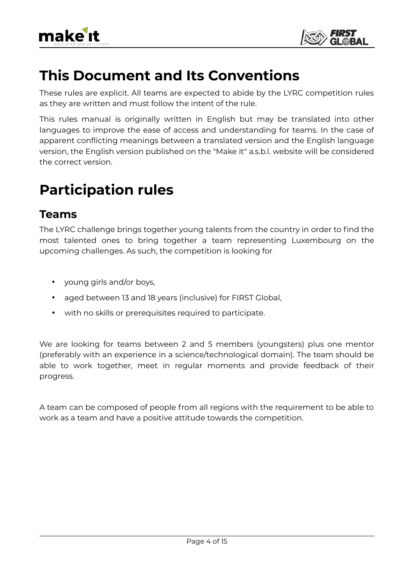



### **This Document and Its Conventions**

These rules are explicit. All teams are expected to abide by the LYRC competition rules as they are written and must follow the intent of the rule.

This rules manual is originally written in English but may be translated into other languages to improve the ease of access and understanding for teams. In the case of apparent conflicting meanings between a translated version and the English language version, the English version published on the "Make it" a.s.b.l. website will be considered the correct version.

### **Participation rules**

#### **Teams**

 $\overline{a}$ 

The LYRC challenge brings together young talents from the country in order to find the most talented ones to bring together a team representing Luxembourg on the upcoming challenges. As such, the competition is looking for

- young girls and/or boys,
- aged between 13 and 18 years (inclusive) for FIRST Global,
- with no skills or prerequisites required to participate.

We are looking for teams between 2 and 5 members (youngsters) plus one mentor (preferably with an experience in a science/technological domain). The team should be able to work together, meet in regular moments and provide feedback of their progress.

A team can be composed of people from all regions with the requirement to be able to work as a team and have a positive attitude towards the competition.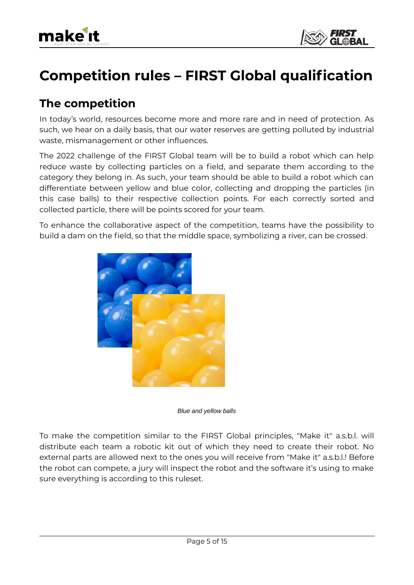



## **Competition rules – FIRST Global qualification**

#### **The competition**

In today's world, resources become more and more rare and in need of protection. As such, we hear on a daily basis, that our water reserves are getting polluted by industrial waste, mismanagement or other influences.

The 2022 challenge of the FIRST Global team will be to build a robot which can help reduce waste by collecting particles on a field, and separate them according to the category they belong in. As such, your team should be able to build a robot which can differentiate between yellow and blue color, collecting and dropping the particles (in this case balls) to their respective collection points. For each correctly sorted and collected particle, there will be points scored for your team.

To enhance the collaborative aspect of the competition, teams have the possibility to build a dam on the field, so that the middle space, symbolizing a river, can be crossed.



*Blue and yellow balls*

To make the competition similar to the FIRST Global principles, "Make it" a.s.b.l. will distribute each team a robotic kit out of which they need to create their robot. No external parts are allowed next to the ones you will receive from "Make it" a.s.b.l.! Before the robot can compete, a jury will inspect the robot and the software it's using to make sure everything is according to this ruleset.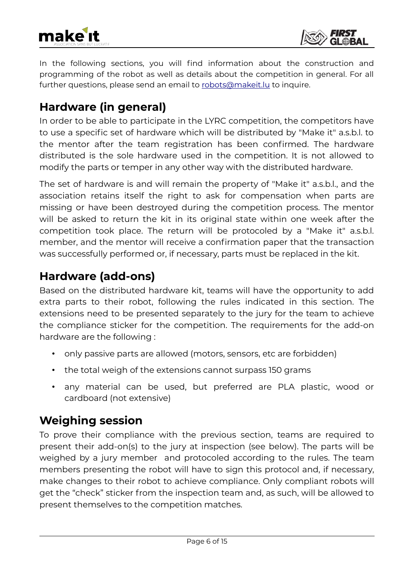



In the following sections, you will find information about the construction and programming of the robot as well as details about the competition in general. For all further questions, please send an email to [robots@makeit.lu](mailto:robots@makeit.lu) to inquire.

### **Hardware (in general)**

In order to be able to participate in the LYRC competition, the competitors have to use a specific set of hardware which will be distributed by "Make it" a.s.b.l. to the mentor after the team registration has been confirmed. The hardware distributed is the sole hardware used in the competition. It is not allowed to modify the parts or temper in any other way with the distributed hardware.

The set of hardware is and will remain the property of "Make it" a.s.b.l., and the association retains itself the right to ask for compensation when parts are missing or have been destroyed during the competition process. The mentor will be asked to return the kit in its original state within one week after the competition took place. The return will be protocoled by a "Make it" a.s.b.l. member, and the mentor will receive a confirmation paper that the transaction was successfully performed or, if necessary, parts must be replaced in the kit.

### **Hardware (add-ons)**

Based on the distributed hardware kit, teams will have the opportunity to add extra parts to their robot, following the rules indicated in this section. The extensions need to be presented separately to the jury for the team to achieve the compliance sticker for the competition. The requirements for the add-on hardware are the following :

- only passive parts are allowed (motors, sensors, etc are forbidden)
- the total weigh of the extensions cannot surpass 150 grams
- any material can be used, but preferred are PLA plastic, wood or cardboard (not extensive)

#### **Weighing session**

 $\overline{a}$ 

To prove their compliance with the previous section, teams are required to present their add-on(s) to the jury at inspection (see below). The parts will be weighed by a jury member and protocoled according to the rules. The team members presenting the robot will have to sign this protocol and, if necessary, make changes to their robot to achieve compliance. Only compliant robots will get the "check" sticker from the inspection team and, as such, will be allowed to present themselves to the competition matches.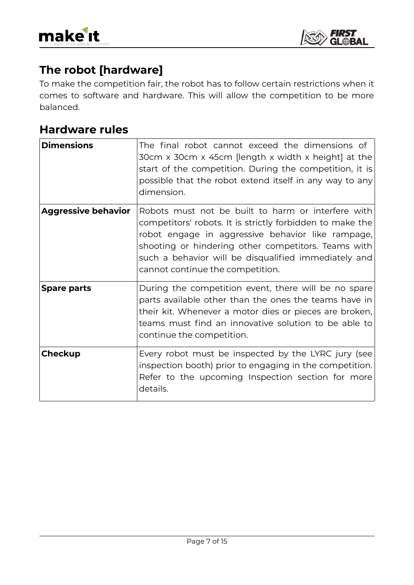



### **The robot [hardware]**

To make the competition fair, the robot has to follow certain restrictions when it comes to software and hardware. This will allow the competition to be more balanced.

#### **Hardware rules**

| <b>Dimensions</b>          | The final robot cannot exceed the dimensions of<br>30cm x 30cm x 45cm [length x width x height] at the<br>start of the competition. During the competition, it is<br>possible that the robot extend itself in any way to any<br>dimension.                                                                              |
|----------------------------|-------------------------------------------------------------------------------------------------------------------------------------------------------------------------------------------------------------------------------------------------------------------------------------------------------------------------|
| <b>Aggressive behavior</b> | Robots must not be built to harm or interfere with<br>competitors' robots. It is strictly forbidden to make the<br>robot engage in aggressive behavior like rampage,<br>shooting or hindering other competitors. Teams with<br>such a behavior will be disqualified immediately and<br>cannot continue the competition. |
| <b>Spare parts</b>         | During the competition event, there will be no spare<br>parts available other than the ones the teams have in<br>their kit. Whenever a motor dies or pieces are broken,<br>teams must find an innovative solution to be able to<br>continue the competition.                                                            |
| Checkup                    | Every robot must be inspected by the LYRC jury (see<br>inspection booth) prior to engaging in the competition.<br>Refer to the upcoming Inspection section for more<br>details.                                                                                                                                         |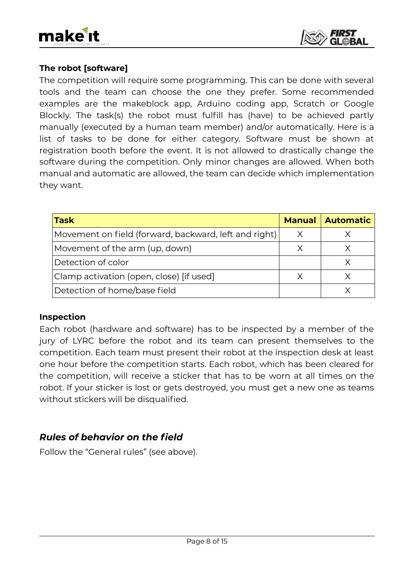



#### **The robot [software]**

The competition will require some programming. This can be done with several tools and the team can choose the one they prefer. Some recommended examples are the makeblock app, Arduino coding app, Scratch or Google Blockly. The task(s) the robot must fulfill has (have) to be achieved partly manually (executed by a human team member) and/or automatically. Here is a list of tasks to be done for either category. Software must be shown at registration booth before the event. It is not allowed to drastically change the software during the competition. Only minor changes are allowed. When both manual and automatic are allowed, the team can decide which implementation they want.

| <b>Task</b>                                           |  | <b>Manual Automatic</b> |
|-------------------------------------------------------|--|-------------------------|
| Movement on field (forward, backward, left and right) |  |                         |
| Movement of the arm (up, down)                        |  |                         |
| Detection of color                                    |  |                         |
| Clamp activation (open, close) [if used]              |  |                         |
| Detection of home/base field                          |  |                         |

#### **Inspection**

 $\overline{a}$ 

Each robot (hardware and software) has to be inspected by a member of the jury of LYRC before the robot and its team can present themselves to the competition. Each team must present their robot at the inspection desk at least one hour before the competition starts. Each robot, which has been cleared for the competition, will receive a sticker that has to be worn at all times on the robot. If your sticker is lost or gets destroyed, you must get a new one as teams without stickers will be disqualified.

#### *Rules of behavior on the field*

Follow the "General rules" (see above).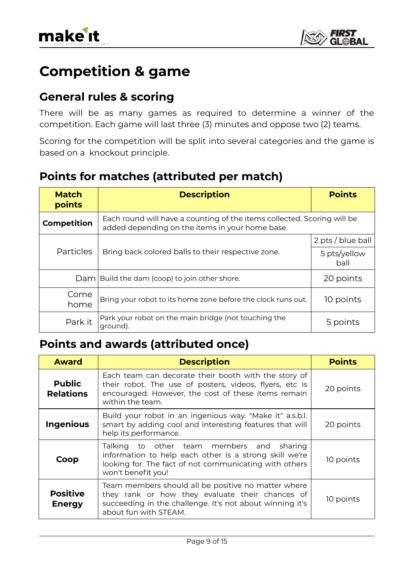

### **Competition & game**

### **General rules & scoring**

There will be as many games as required to determine a winner of the competition. Each game will last three (3) minutes and oppose two (2) teams.

Scoring for the competition will be split into several categories and the game is based on a knockout principle.

#### **Points for matches (attributed per match)**

| <b>Match</b><br>points | <b>Description</b>                                                                                                         | <b>Points</b>        |
|------------------------|----------------------------------------------------------------------------------------------------------------------------|----------------------|
| <b>Competition</b>     | Each round will have a counting of the items collected. Scoring will be<br>added depending on the items in your home base. |                      |
| <b>Particles</b>       | Bring back colored balls to their respective zone.                                                                         | 2 pts / blue ball    |
|                        |                                                                                                                            | 5 pts/yellow<br>ball |
| Daml                   | Build the dam (coop) to join other shore.                                                                                  | 20 points            |
| Come<br>home           | Bring your robot to its home zone before the clock runs out.                                                               | 10 points            |
| Park it                | Park your robot on the main bridge (not touching the<br>ground).                                                           | 5 points             |

#### **Points and awards (attributed once)**

| <b>Award</b>                      | <b>Description</b>                                                                                                                                                                          | <b>Points</b> |
|-----------------------------------|---------------------------------------------------------------------------------------------------------------------------------------------------------------------------------------------|---------------|
| <b>Public</b><br><b>Relations</b> | Each team can decorate their booth with the story of<br>their robot. The use of posters, videos, flyers, etc is<br>encouraged. However, the cost of these items remain<br>within the team.  | 20 points     |
| <b>Ingenious</b>                  | Build your robot in an ingenious way. "Make it" a.s.b.l.<br>smart by adding cool and interesting features that will<br>help its performance.                                                | 20 points     |
| Coop                              | Talking to other team members and sharing<br>information to help each other is a strong skill we're<br>looking for. The fact of not communicating with others<br>won't benefit you!         | 10 points     |
| <b>Positive</b><br><b>Energy</b>  | Team members should all be positive no matter where<br>they rank or how they evaluate their chances of<br>succeeding in the challenge. It's not about winning it's<br>about fun with STEAM. | 10 points     |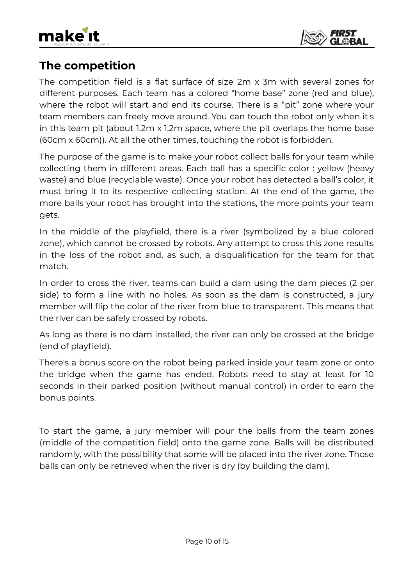



### **The competition**

The competition field is a flat surface of size 2m x 3m with several zones for different purposes. Each team has a colored "home base" zone (red and blue), where the robot will start and end its course. There is a "pit" zone where your team members can freely move around. You can touch the robot only when it's in this team pit (about 1,2m x 1,2m space, where the pit overlaps the home base (60cm x 60cm)). At all the other times, touching the robot is forbidden.

The purpose of the game is to make your robot collect balls for your team while collecting them in different areas. Each ball has a specific color : yellow (heavy waste) and blue (recyclable waste). Once your robot has detected a ball's color, it must bring it to its respective collecting station. At the end of the game, the more balls your robot has brought into the stations, the more points your team gets.

In the middle of the playfield, there is a river (symbolized by a blue colored zone), which cannot be crossed by robots. Any attempt to cross this zone results in the loss of the robot and, as such, a disqualification for the team for that match.

In order to cross the river, teams can build a dam using the dam pieces (2 per side) to form a line with no holes. As soon as the dam is constructed, a jury member will flip the color of the river from blue to transparent. This means that the river can be safely crossed by robots.

As long as there is no dam installed, the river can only be crossed at the bridge (end of playfield).

There's a bonus score on the robot being parked inside your team zone or onto the bridge when the game has ended. Robots need to stay at least for 10 seconds in their parked position (without manual control) in order to earn the bonus points.

To start the game, a jury member will pour the balls from the team zones (middle of the competition field) onto the game zone. Balls will be distributed randomly, with the possibility that some will be placed into the river zone. Those balls can only be retrieved when the river is dry (by building the dam).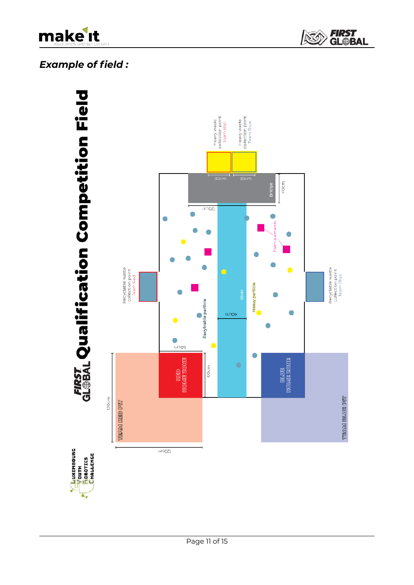

*FIRST<br>GL@BAL* S

#### *Example of field :*

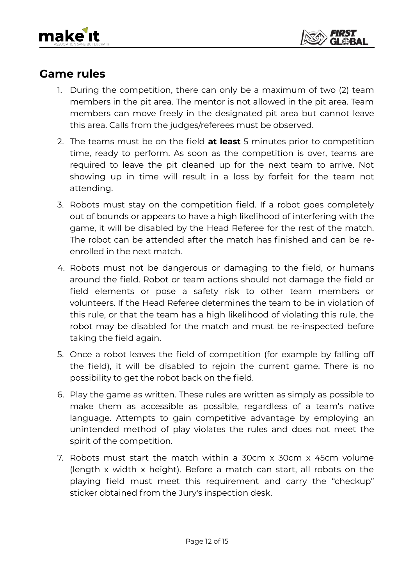



#### **Game rules**

- 1. During the competition, there can only be a maximum of two (2) team members in the pit area. The mentor is not allowed in the pit area. Team members can move freely in the designated pit area but cannot leave this area. Calls from the judges/referees must be observed.
- 2. The teams must be on the field **at least** 5 minutes prior to competition time, ready to perform. As soon as the competition is over, teams are required to leave the pit cleaned up for the next team to arrive. Not showing up in time will result in a loss by forfeit for the team not attending.
- 3. Robots must stay on the competition field. If a robot goes completely out of bounds or appears to have a high likelihood of interfering with the game, it will be disabled by the Head Referee for the rest of the match. The robot can be attended after the match has finished and can be reenrolled in the next match.
- 4. Robots must not be dangerous or damaging to the field, or humans around the field. Robot or team actions should not damage the field or field elements or pose a safety risk to other team members or volunteers. If the Head Referee determines the team to be in violation of this rule, or that the team has a high likelihood of violating this rule, the robot may be disabled for the match and must be re-inspected before taking the field again.
- 5. Once a robot leaves the field of competition (for example by falling off the field), it will be disabled to rejoin the current game. There is no possibility to get the robot back on the field.
- 6. Play the game as written. These rules are written as simply as possible to make them as accessible as possible, regardless of a team's native language. Attempts to gain competitive advantage by employing an unintended method of play violates the rules and does not meet the spirit of the competition.
- 7. Robots must start the match within a 30cm x 30cm x 45cm volume (length x width x height). Before a match can start, all robots on the playing field must meet this requirement and carry the "checkup" sticker obtained from the Jury's inspection desk.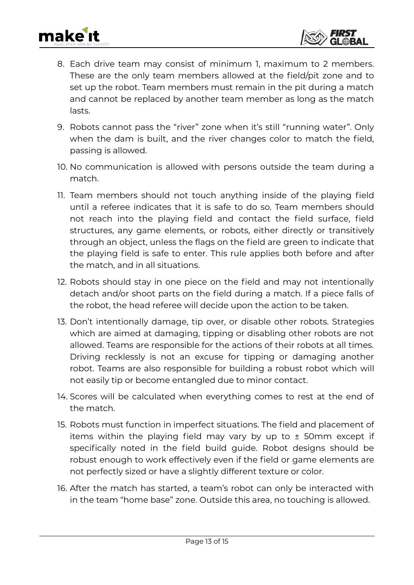



- 8. Each drive team may consist of minimum 1, maximum to 2 members. These are the only team members allowed at the field/pit zone and to set up the robot. Team members must remain in the pit during a match and cannot be replaced by another team member as long as the match lasts.
- 9. Robots cannot pass the "river" zone when it's still "running water". Only when the dam is built, and the river changes color to match the field, passing is allowed.
- 10. No communication is allowed with persons outside the team during a match.
- 11. Team members should not touch anything inside of the playing field until a referee indicates that it is safe to do so. Team members should not reach into the playing field and contact the field surface, field structures, any game elements, or robots, either directly or transitively through an object, unless the flags on the field are green to indicate that the playing field is safe to enter. This rule applies both before and after the match, and in all situations.
- 12. Robots should stay in one piece on the field and may not intentionally detach and/or shoot parts on the field during a match. If a piece falls of the robot, the head referee will decide upon the action to be taken.
- 13. Don't intentionally damage, tip over, or disable other robots. Strategies which are aimed at damaging, tipping or disabling other robots are not allowed. Teams are responsible for the actions of their robots at all times. Driving recklessly is not an excuse for tipping or damaging another robot. Teams are also responsible for building a robust robot which will not easily tip or become entangled due to minor contact.
- 14. Scores will be calculated when everything comes to rest at the end of the match.
- 15. Robots must function in imperfect situations. The field and placement of items within the playing field may vary by up to  $\pm$  50mm except if specifically noted in the field build guide. Robot designs should be robust enough to work effectively even if the field or game elements are not perfectly sized or have a slightly different texture or color.
- 16. After the match has started, a team's robot can only be interacted with in the team "home base" zone. Outside this area, no touching is allowed.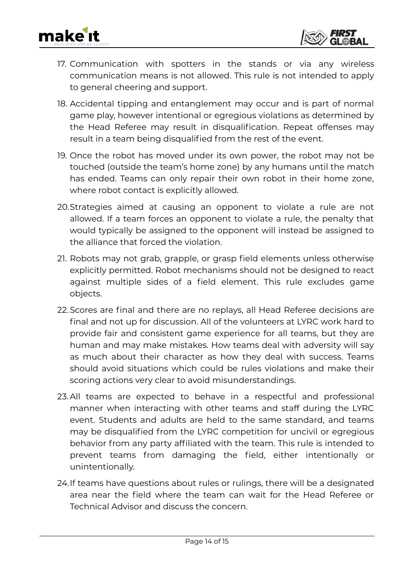



- 17. Communication with spotters in the stands or via any wireless communication means is not allowed. This rule is not intended to apply to general cheering and support.
- 18. Accidental tipping and entanglement may occur and is part of normal game play, however intentional or egregious violations as determined by the Head Referee may result in disqualification. Repeat offenses may result in a team being disqualified from the rest of the event.
- 19. Once the robot has moved under its own power, the robot may not be touched (outside the team's home zone) by any humans until the match has ended. Teams can only repair their own robot in their home zone, where robot contact is explicitly allowed.
- 20.Strategies aimed at causing an opponent to violate a rule are not allowed. If a team forces an opponent to violate a rule, the penalty that would typically be assigned to the opponent will instead be assigned to the alliance that forced the violation.
- 21. Robots may not grab, grapple, or grasp field elements unless otherwise explicitly permitted. Robot mechanisms should not be designed to react against multiple sides of a field element. This rule excludes game objects.
- 22.Scores are final and there are no replays, all Head Referee decisions are final and not up for discussion. All of the volunteers at LYRC work hard to provide fair and consistent game experience for all teams, but they are human and may make mistakes. How teams deal with adversity will say as much about their character as how they deal with success. Teams should avoid situations which could be rules violations and make their scoring actions very clear to avoid misunderstandings.
- 23. All teams are expected to behave in a respectful and professional manner when interacting with other teams and staff during the LYRC event. Students and adults are held to the same standard, and teams may be disqualified from the LYRC competition for uncivil or egregious behavior from any party affiliated with the team. This rule is intended to prevent teams from damaging the field, either intentionally or unintentionally.
- 24.If teams have questions about rules or rulings, there will be a designated area near the field where the team can wait for the Head Referee or Technical Advisor and discuss the concern.